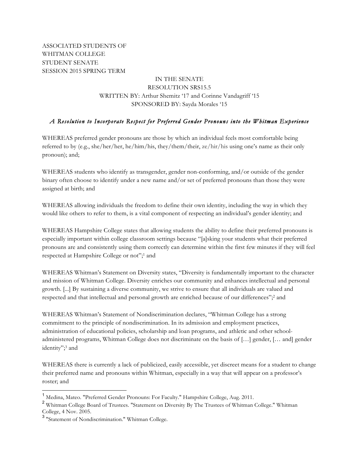ASSOCIATED STUDENTS OF WHITMAN COLLEGE STUDENT SENATE SESSION 2015 SPRING TERM

# IN THE SENATE RESOLUTION SRS15.5 WRITTEN BY: Arthur Shemitz '17 and Corinne Vandagriff '15 SPONSORED BY: Sayda Morales '15

# *A Resolution to Incorporate Respect for Preferred Gender Pronouns into the Whitman Experience*

WHEREAS preferred gender pronouns are those by which an individual feels most comfortable being referred to by (e.g., she/her/her, he/him/his, they/them/their, ze/hir/his using one's name as their only pronoun); and;

WHEREAS students who identify as transgender, gender non-conforming, and/or outside of the gender binary often choose to identify under a new name and/or set of preferred pronouns than those they were assigned at birth; and

WHEREAS allowing individuals the freedom to define their own identity, including the way in which they would like others to refer to them, is a vital component of respecting an individual's gender identity; and

WHEREAS Hampshire College states that allowing students the ability to define their preferred pronouns is especially important within college classroom settings because "[a]sking your students what their preferred pronouns are and consistently using them correctly can determine within the first few minutes if they will feel respected at Hampshire College or not";1 and

WHEREAS Whitman's Statement on Diversity states, "Diversity is fundamentally important to the character and mission of Whitman College. Diversity enriches our community and enhances intellectual and personal growth. [...] By sustaining a diverse community, we strive to ensure that all individuals are valued and respected and that intellectual and personal growth are enriched because of our differences";2 and

WHEREAS Whitman's Statement of Nondiscrimination declares, "Whitman College has a strong commitment to the principle of nondiscrimination. In its admission and employment practices, administration of educational policies, scholarship and loan programs, and athletic and other schooladministered programs, Whitman College does not discriminate on the basis of […] gender, [… and] gender identity";3 and

WHEREAS there is currently a lack of publicized, easily accessible, yet discreet means for a student to change their preferred name and pronouns within Whitman, especially in a way that will appear on a professor's roster; and

<sup>&</sup>lt;sup>1</sup> Medina, Mateo. "Preferred Gender Pronouns: For Faculty." Hampshire College, Aug. 2011.

<sup>2</sup> Whitman College Board of Trustees. "Statement on Diversity By The Trustees of Whitman College." Whitman College, 4 Nov. 2005.

<sup>3</sup> "Statement of Nondiscrimination." Whitman College.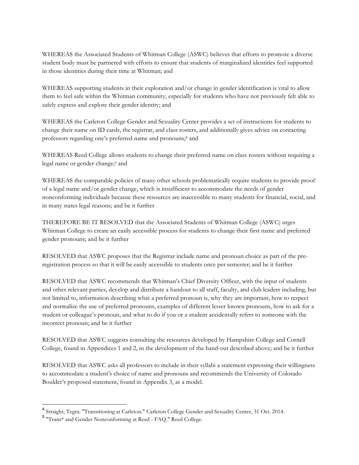WHEREAS the Associated Students of Whitman College (ASWC) believes that efforts to promote a diverse student body must be partnered with efforts to ensure that students of marginalized identities feel supported in those identities during their time at Whitman; and

WHEREAS supporting students in their exploration and/or change in gender identification is vital to allow them to feel safe within the Whitman community, especially for students who have not previously felt able to safely express and explore their gender identity; and

WHEREAS the Carleton College Gender and Sexuality Center provides a set of instructions for students to change their name on ID cards, the registrar, and class rosters, and additionally gives advice on contacting professors regarding one's preferred name and pronouns;4 and

WHEREAS Reed College allows students to change their preferred name on class rosters without requiring a legal name or gender change;<sup>5</sup> and

WHEREAS the comparable policies of many other schools problematically require students to provide proof of a legal name and/or gender change, which is insufficient to accommodate the needs of gender nonconforming individuals because these resources are inaccessible to many students for financial, social, and in many states legal reasons; and be it further

THEREFORE BE IT RESOLVED that the Associated Students of Whitman College (ASWC) urges Whitman College to create an easily accessible process for students to change their first name and preferred gender pronouns; and be it further

RESOLVED that ASWC proposes that the Registrar include name and pronoun choice as part of the preregistration process so that it will be easily accessible to students once per semester; and be it further

RESOLVED that ASWC recommends that Whitman's Chief Diversity Officer, with the input of students and other relevant parties, develop and distribute a handout to all staff, faculty, and club leaders including, but not limited to, information describing what a preferred pronoun is, why they are important, how to respect and normalize the use of preferred pronouns, examples of different lesser known pronouns, how to ask for a student or colleague's pronoun, and what to do if you or a student accidentally refers to someone with the incorrect pronoun; and be it further

RESOLVED that ASWC suggests consulting the resources developed by Hampshire College and Cornell College, found in Appendices 1 and 2, in the development of the hand-out described above; and be it further

RESOLVED that ASWC asks all professors to include in their syllabi a statement expressing their willingness to accommodate a student's choice of name and pronouns and recommends the University of Colorado Boulder's proposed statement, found in Appendix 3, as a model.

 <sup>4</sup> Straight, Tegra. "Transitioning at Carleton." Carleton College Gender and Sexuality Center, 31 Oct. 2014.

<sup>5</sup> "Trans\* and Gender Nonconforming at Reed - FAQ." Reed College.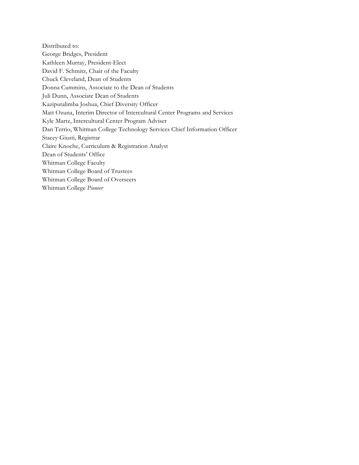Distributed to: George Bridges, President Kathleen Murray, President-Elect David F. Schmitz, Chair of the Faculty Chuck Cleveland, Dean of Students Donna Cummins, Associate to the Dean of Students Juli Dunn, Associate Dean of Students Kaziputalimba Joshua, Chief Diversity Officer Matt Ozuna, Interim Director of Intercultural Center Programs and Services Kyle Martz, Intercultural Center Program Adviser Dan Terrio, Whitman College Technology Services Chief Information Officer Stacey Giusti, Registrar Claire Knoche, Curriculum & Registration Analyst Dean of Students' Office Whitman College Faculty Whitman College Board of Trustees Whitman College Board of Overseers Whitman College *Pioneer*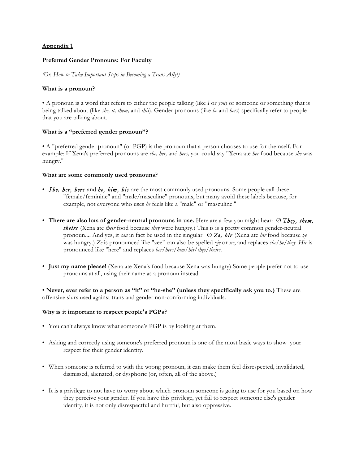## **Appendix 1**

## **Preferred Gender Pronouns: For Faculty**

*(Or, How to Take Important Steps in Becoming a Trans Ally!)*

## **What is a pronoun?**

• A pronoun is a word that refers to either the people talking (like *I* or *you*) or someone or something that is being talked about (like *she, it, them,* and *this*). Gender pronouns (like *he* and *hers*) specifically refer to people that you are talking about.

## **What is a "preferred gender pronoun"?**

• A "preferred gender pronoun" (or PGP) is the pronoun that a person chooses to use for themself. For example: If Xena's preferred pronouns are *she, her,* and *hers,* you could say "Xena ate *her* food because *she* was hungry."

#### **What are some commonly used pronouns?**

- *She, her, hers* and *he, him, his* are the most commonly used pronouns. Some people call these "female/feminine" and "male/masculine" pronouns, but many avoid these labels because, for example, not everyone who uses *he* feels like a "male" or "masculine."
- **There are also lots of gender-neutral pronouns in use.** Here are a few you might hear: Ø *They, them, theirs* (Xena ate *their* food because *they* were hungry.) This is is a pretty common gender-neutral pronoun.... And yes, it *can* in fact be used in the singular. Ø *Ze, hir* (Xena ate *hir* food because *ze*  was hungry.) *Ze* is pronounced like "zee" can also be spelled *zie* or *xe*, and replaces *she/he/they. Hir* is pronounced like "here" and replaces *her/hers/him/his/they/theirs*.
- **Just my name please!** (Xena ate Xena's food because Xena was hungry) Some people prefer not to use pronouns at all, using their name as a pronoun instead.

• **Never, ever refer to a person as "it" or "he-she" (unless they specifically ask you to.)** These are offensive slurs used against trans and gender non-conforming individuals.

## **Why is it important to respect people's PGPs?**

- You can't always know what someone's PGP is by looking at them.
- Asking and correctly using someone's preferred pronoun is one of the most basic ways to show your respect for their gender identity.
- When someone is referred to with the wrong pronoun, it can make them feel disrespected, invalidated, dismissed, alienated, or dysphoric (or, often, all of the above.)
- It is a privilege to not have to worry about which pronoun someone is going to use for you based on how they perceive your gender. If you have this privilege, yet fail to respect someone else's gender identity, it is not only disrespectful and hurtful, but also oppressive.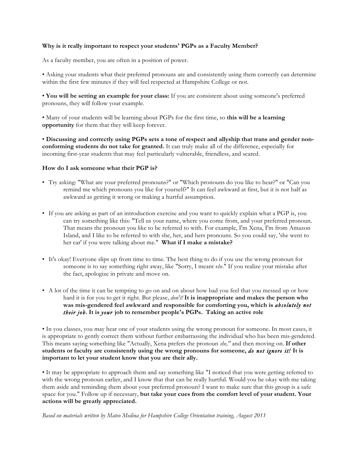## **Why is it really important to respect your students' PGPs as a Faculty Member?**

As a faculty member, you are often in a position of power.

• Asking your students what their preferred pronouns are and consistently using them correctly can determine within the first few minutes if they will feel respected at Hampshire College or not.

• **You will be setting an example for your class:** If you are consistent about using someone's preferred pronouns, they will follow your example.

• Many of your students will be learning about PGPs for the first time, so **this will be a learning opportunity** for them that they will keep forever.

• **Discussing and correctly using PGPs sets a tone of respect and allyship that trans and gender nonconforming students do not take for granted.** It can truly make all of the difference, especially for incoming first-year students that may feel particularly vulnerable, friendless, and scared.

#### **How do I ask someone what their PGP is?**

- Try asking: "What are your preferred pronouns?" or "Which pronouns do you like to hear?" or "Can you remind me which pronouns you like for yourself?" It can feel awkward at first, but it is not half as awkward as getting it wrong or making a hurtful assumption.
- If you are asking as part of an introduction exercise and you want to quickly explain what a PGP is, you can try something like this: "Tell us your name, where you come from, and your preferred pronoun. That means the pronoun you like to be referred to with. For example, I'm Xena, I'm from Amazon Island, and I like to be referred to with she, her, and hers pronouns. So you could say, 'she went to her car' if you were talking about me." **What if I make a mistake?**
- It's okay! Everyone slips up from time to time. The best thing to do if you use the wrong pronoun for someone is to say something right away, like "Sorry, I meant s*he*." If you realize your mistake after the fact, apologize in private and move on.
- A lot of the time it can be tempting to go on and on about how bad you feel that you messed up or how hard it is for you to get it right. But please, *don't!* **It is inappropriate and makes the person who was mis-gendered feel awkward and responsible for comforting you, which is** *absolutely not their job***. It is** *your* **job to remember people's PGPs. Taking an active role**

• In you classes, you may hear one of your students using the wrong pronoun for someone. In most cases, it is appropriate to gently correct them without further embarrassing the individual who has been mis-gendered. This means saying something like "Actually, Xena prefers the pronoun *she,"* and then moving on. **If other students or faculty are consistently using the wrong pronouns for someone,** *do not ignore it!* **It is important to let your student know that you are their ally.**

• It may be appropriate to approach them and say something like "I noticed that you were getting referred to with the wrong pronoun earlier, and I know that that can be really hurtful. Would you be okay with me taking them aside and reminding them about your preferred pronoun? I want to make sure that this group is a safe space for you." Follow up if necessary, **but take your cues from the comfort level of your student. Your actions will be greatly appreciated.**

*Based on materials written by Mateo Medina for Hampshire College Orientation training, August 2011*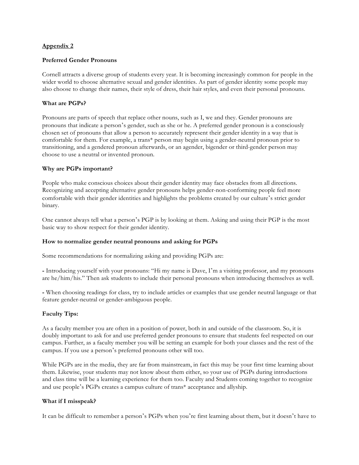#### **Appendix 2**

#### **Preferred Gender Pronouns**

Cornell attracts a diverse group of students every year. It is becoming increasingly common for people in the wider world to choose alternative sexual and gender identities. As part of gender identity some people may also choose to change their names, their style of dress, their hair styles, and even their personal pronouns.

## **What are PGPs?**

Pronouns are parts of speech that replace other nouns, such as I, we and they. Gender pronouns are pronouns that indicate a person's gender, such as she or he. A preferred gender pronoun is a consciously chosen set of pronouns that allow a person to accurately represent their gender identity in a way that is comfortable for them. For example, a trans\* person may begin using a gender-neutral pronoun prior to transitioning, and a gendered pronoun afterwards, or an agender, bigender or third-gender person may choose to use a neutral or invented pronoun.

#### **Why are PGPs important?**

People who make conscious choices about their gender identity may face obstacles from all directions. Recognizing and accepting alternative gender pronouns helps gender-non-conforming people feel more comfortable with their gender identities and highlights the problems created by our culture's strict gender binary.

One cannot always tell what a person's PGP is by looking at them. Asking and using their PGP is the most basic way to show respect for their gender identity.

#### **How to normalize gender neutral pronouns and asking for PGPs**

Some recommendations for normalizing asking and providing PGPs are:

**-** Introducing yourself with your pronouns: "Hi my name is Dave, I'm a visiting professor, and my pronouns are he/him/his." Then ask students to include their personal pronouns when introducing themselves as well.

**-** When choosing readings for class, try to include articles or examples that use gender neutral language or that feature gender-neutral or gender-ambiguous people.

## **Faculty Tips:**

As a faculty member you are often in a position of power, both in and outside of the classroom. So, it is doubly important to ask for and use preferred gender pronouns to ensure that students feel respected on our campus. Further, as a faculty member you will be setting an example for both your classes and the rest of the campus. If you use a person's preferred pronouns other will too.

While PGPs are in the media, they are far from mainstream, in fact this may be your first time learning about them. Likewise, your students may not know about them either, so your use of PGPs during introductions and class time will be a learning experience for them too. Faculty and Students coming together to recognize and use people's PGPs creates a campus culture of trans\* acceptance and allyship.

#### **What if I misspeak?**

It can be difficult to remember a person's PGPs when you're first learning about them, but it doesn't have to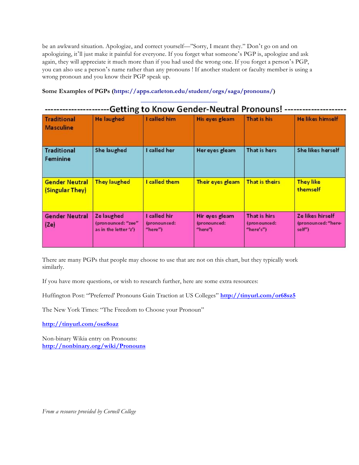be an awkward situation. Apologize, and correct yourself––"Sorry, I meant they." Don't go on and on apologizing, it'll just make it painful for everyone. If you forget what someone's PGP is, apologize and ask again, they will appreciate it much more than if you had used the wrong one. If you forget a person's PGP, you can also use a person's name rather than any pronouns ! If another student or faculty member is using a wrong pronoun and you know their PGP speak up.

## **Some Examples of PGPs (https://apps.carleton.edu/student/orgs/saga/pronouns/)**

 $\ddotsc$ 

| Getting to Know Gender-Neutral Pronouns! |                                                           |                                         |                                           |                                           |                                                   |
|------------------------------------------|-----------------------------------------------------------|-----------------------------------------|-------------------------------------------|-------------------------------------------|---------------------------------------------------|
| <b>Traditional</b><br><b>Masculine</b>   | <b>He laughed</b>                                         | I called him                            | His eyes gleam                            | That is his                               | <b>He likes himself</b>                           |
| <b>Traditional</b><br>Feminine           | She laughed                                               | I called her                            | Her eyes gleam                            | That is hers                              | She likes herself                                 |
| <b>Gender Neutral</b><br>(Singular They) | <b>They laughed</b>                                       | I called them                           | Their eyes gleam                          | That is theirs                            | <b>They like</b><br>themself                      |
| <b>Gender Neutral</b><br>(Ze)            | Ze laughed<br>(pronounced: "zee"<br>as in the letter 'z') | I called hir<br>(pronounced:<br>"here") | Hir eyes gleam<br>(pronounced:<br>"here") | That is hirs<br>(pronounced:<br>"here's") | Ze likes hirself<br>(pronounced: "here-<br>self") |

 $\overline{a}$ 

There are many PGPs that people may choose to use that are not on this chart, but they typically work similarly.

If you have more questions, or wish to research further, here are some extra resources:

Huffington Post: "'Preferred' Pronouns Gain Traction at US Colleges" **http://tinyurl.com/or68sz5**

The New York Times: "The Freedom to Choose your Pronoun"

**http://tinyurl.com/osz8oaz**

Non-binary Wikia entry on Pronouns: **http://nonbinary.org/wiki/Pronouns**

*From a resource provided by Cornell College*